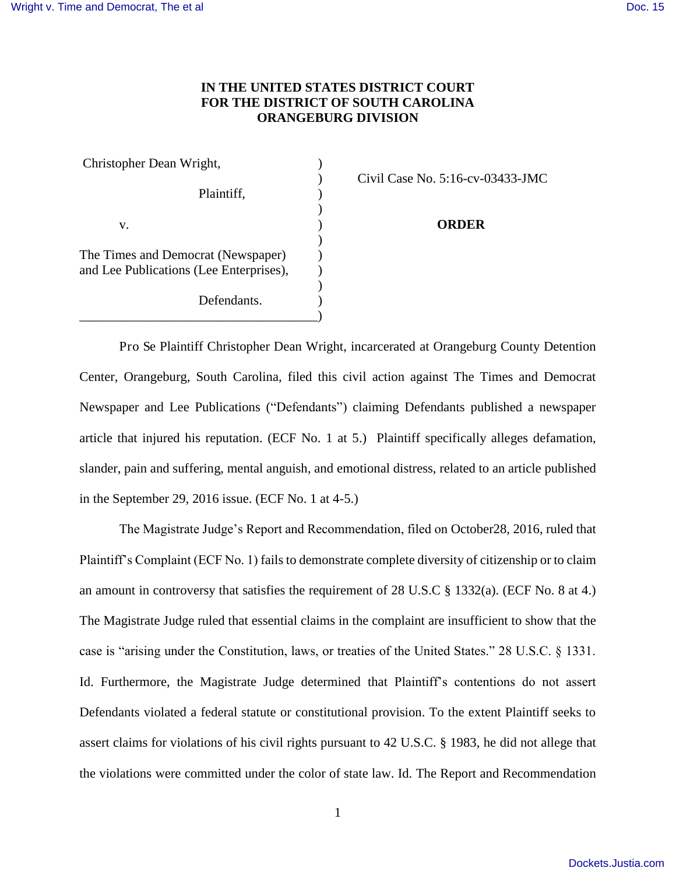## **IN THE UNITED STATES DISTRICT COURT FOR THE DISTRICT OF SOUTH CAROLINA ORANGEBURG DIVISION**

| Christopher Dean Wright,                |                                |
|-----------------------------------------|--------------------------------|
|                                         | Civil Case No. $5:16$ -cv- $($ |
| Plaintiff,                              |                                |
|                                         |                                |
| v.                                      | <b>ORDER</b>                   |
|                                         |                                |
| The Times and Democrat (Newspaper)      |                                |
| and Lee Publications (Lee Enterprises), |                                |
|                                         |                                |
| Defendants.                             |                                |
|                                         |                                |

) Civil Case No. 5:16-cv-03433-JMC

 Pro Se Plaintiff Christopher Dean Wright, incarcerated at Orangeburg County Detention Center, Orangeburg, South Carolina, filed this civil action against The Times and Democrat Newspaper and Lee Publications ("Defendants") claiming Defendants published a newspaper article that injured his reputation. (ECF No. 1 at 5.) Plaintiff specifically alleges defamation, slander, pain and suffering, mental anguish, and emotional distress, related to an article published in the September 29, 2016 issue. (ECF No. 1 at 4-5.)

The Magistrate Judge's Report and Recommendation, filed on October28, 2016, ruled that Plaintiff's Complaint (ECF No. 1) fails to demonstrate complete diversity of citizenship or to claim an amount in controversy that satisfies the requirement of 28 U.S.C § 1332(a). (ECF No. 8 at 4.) The Magistrate Judge ruled that essential claims in the complaint are insufficient to show that the case is "arising under the Constitution, laws, or treaties of the United States." 28 U.S.C. § 1331. Id. Furthermore, the Magistrate Judge determined that Plaintiff's contentions do not assert Defendants violated a federal statute or constitutional provision. To the extent Plaintiff seeks to assert claims for violations of his civil rights pursuant to 42 U.S.C. § 1983, he did not allege that the violations were committed under the color of state law. Id. The Report and Recommendation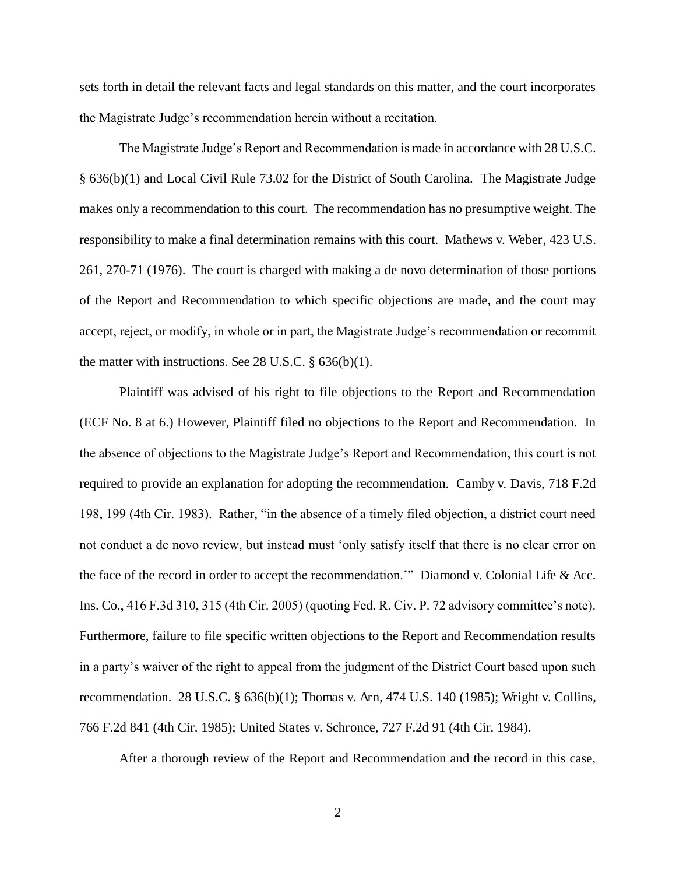sets forth in detail the relevant facts and legal standards on this matter, and the court incorporates the Magistrate Judge's recommendation herein without a recitation.

The Magistrate Judge's Report and Recommendation is made in accordance with 28 U.S.C. § 636(b)(1) and Local Civil Rule 73.02 for the District of South Carolina. The Magistrate Judge makes only a recommendation to this court. The recommendation has no presumptive weight. The responsibility to make a final determination remains with this court. Mathews v. Weber, 423 U.S. 261, 270-71 (1976). The court is charged with making a de novo determination of those portions of the Report and Recommendation to which specific objections are made, and the court may accept, reject, or modify, in whole or in part, the Magistrate Judge's recommendation or recommit the matter with instructions. See 28 U.S.C. § 636(b)(1).

 Plaintiff was advised of his right to file objections to the Report and Recommendation (ECF No. 8 at 6.) However, Plaintiff filed no objections to the Report and Recommendation. In the absence of objections to the Magistrate Judge's Report and Recommendation, this court is not required to provide an explanation for adopting the recommendation. Camby v. Davis, 718 F.2d 198, 199 (4th Cir. 1983). Rather, "in the absence of a timely filed objection, a district court need not conduct a de novo review, but instead must 'only satisfy itself that there is no clear error on the face of the record in order to accept the recommendation.'" Diamond v. Colonial Life & Acc. Ins. Co., 416 F.3d 310, 315 (4th Cir. 2005) (quoting Fed. R. Civ. P. 72 advisory committee's note). Furthermore, failure to file specific written objections to the Report and Recommendation results in a party's waiver of the right to appeal from the judgment of the District Court based upon such recommendation. 28 U.S.C. § 636(b)(1); Thomas v. Arn, 474 U.S. 140 (1985); Wright v. Collins, 766 F.2d 841 (4th Cir. 1985); United States v. Schronce, 727 F.2d 91 (4th Cir. 1984).

After a thorough review of the Report and Recommendation and the record in this case,